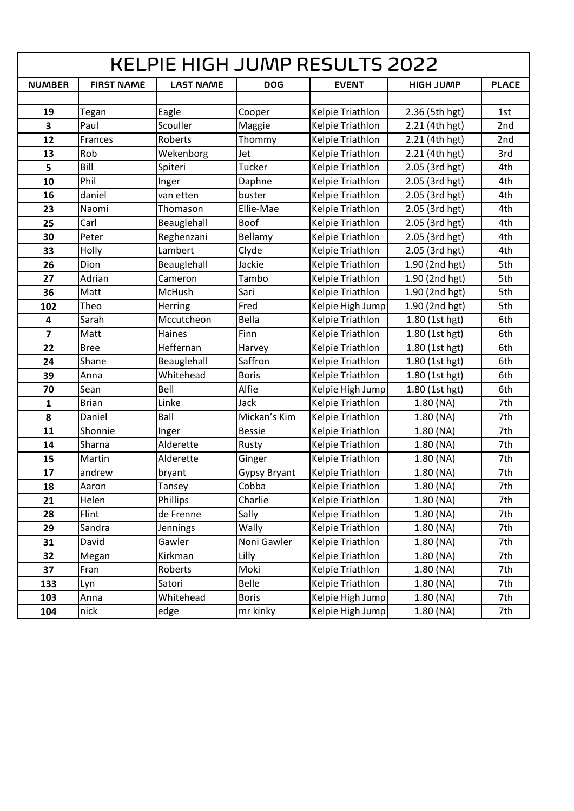| <b>KELPIE HIGH JUMP RESULTS 2022</b> |                   |                  |                     |                         |                  |              |
|--------------------------------------|-------------------|------------------|---------------------|-------------------------|------------------|--------------|
| <b>NUMBER</b>                        | <b>FIRST NAME</b> | <b>LAST NAME</b> | <b>DOG</b>          | <b>EVENT</b>            | <b>HIGH JUMP</b> | <b>PLACE</b> |
|                                      |                   |                  |                     |                         |                  |              |
| 19                                   | Tegan             | Eagle            | Cooper              | Kelpie Triathlon        | 2.36 (5th hgt)   | 1st          |
| 3                                    | Paul              | Scouller         | Maggie              | Kelpie Triathlon        | 2.21 (4th hgt)   | 2nd          |
| 12                                   | Frances           | Roberts          | Thommy              | Kelpie Triathlon        | 2.21 (4th hgt)   | 2nd          |
| 13                                   | Rob               | Wekenborg        | Jet                 | Kelpie Triathlon        | 2.21 (4th hgt)   | 3rd          |
| 5                                    | Bill              | Spiteri          | <b>Tucker</b>       | Kelpie Triathlon        | 2.05 (3rd hgt)   | 4th          |
| 10                                   | Phil              | Inger            | Daphne              | Kelpie Triathlon        | 2.05 (3rd hgt)   | 4th          |
| 16                                   | daniel            | van etten        | buster              | Kelpie Triathlon        | 2.05 (3rd hgt)   | 4th          |
| 23                                   | Naomi             | Thomason         | Ellie-Mae           | Kelpie Triathlon        | 2.05 (3rd hgt)   | 4th          |
| 25                                   | Carl              | Beauglehall      | Boof                | Kelpie Triathlon        | 2.05 (3rd hgt)   | 4th          |
| 30                                   | Peter             | Reghenzani       | Bellamy             | Kelpie Triathlon        | 2.05 (3rd hgt)   | 4th          |
| 33                                   | Holly             | Lambert          | Clyde               | Kelpie Triathlon        | 2.05 (3rd hgt)   | 4th          |
| 26                                   | Dion              | Beauglehall      | Jackie              | Kelpie Triathlon        | 1.90 (2nd hgt)   | 5th          |
| 27                                   | Adrian            | Cameron          | Tambo               | Kelpie Triathlon        | 1.90 (2nd hgt)   | 5th          |
| 36                                   | Matt              | McHush           | Sari                | Kelpie Triathlon        | 1.90 (2nd hgt)   | 5th          |
| 102                                  | Theo              | Herring          | Fred                | Kelpie High Jump        | 1.90 (2nd hgt)   | 5th          |
| $\overline{\mathbf{4}}$              | Sarah             | Mccutcheon       | Bella               | Kelpie Triathlon        | 1.80 (1st hgt)   | 6th          |
| $\overline{\mathbf{z}}$              | Matt              | Haines           | Finn                | Kelpie Triathlon        | 1.80 (1st hgt)   | 6th          |
| 22                                   | <b>Bree</b>       | Heffernan        | Harvey              | Kelpie Triathlon        | 1.80 (1st hgt)   | 6th          |
| 24                                   | Shane             | Beauglehall      | Saffron             | Kelpie Triathlon        | 1.80 (1st hgt)   | 6th          |
| 39                                   | Anna              | Whitehead        | <b>Boris</b>        | Kelpie Triathlon        | 1.80 (1st hgt)   | 6th          |
| 70                                   | Sean              | Bell             | Alfie               | Kelpie High Jump        | 1.80 (1st hgt)   | 6th          |
| $\mathbf{1}$                         | <b>Brian</b>      | Linke            | Jack                | Kelpie Triathlon        | 1.80 (NA)        | 7th          |
| 8                                    | Daniel            | Ball             | Mickan's Kim        | Kelpie Triathlon        | 1.80(NA)         | 7th          |
| 11                                   | Shonnie           | Inger            | <b>Bessie</b>       | Kelpie Triathlon        | 1.80 (NA)        | 7th          |
| 14                                   | Sharna            | Alderette        | Rusty               | Kelpie Triathlon        | 1.80(NA)         | 7th          |
| 15                                   | Martin            | Alderette        | Ginger              | Kelpie Triathlon        | 1.80 (NA)        | 7th          |
| 17                                   | andrew            | bryant           | <b>Gypsy Bryant</b> | Kelpie Triathlon        | $1.80$ (NA)      | 7th          |
| 18                                   | Aaron             | Tansey           | Cobba               | <b>Kelpie Triathlon</b> | 1.80(NA)         | 7th          |
| 21                                   | Helen             | Phillips         | Charlie             | Kelpie Triathlon        | $1.80$ (NA)      | 7th          |
| 28                                   | Flint             | de Frenne        | Sally               | Kelpie Triathlon        | 1.80(NA)         | 7th          |
| 29                                   | Sandra            | Jennings         | Wally               | Kelpie Triathlon        | 1.80(NA)         | 7th          |
| 31                                   | David             | Gawler           | Noni Gawler         | Kelpie Triathlon        | 1.80 (NA)        | 7th          |
| 32                                   | Megan             | Kirkman          | Lilly               | Kelpie Triathlon        | 1.80 (NA)        | 7th          |
| 37                                   | Fran              | Roberts          | Moki                | Kelpie Triathlon        | 1.80(NA)         | 7th          |
| 133                                  | Lyn               | Satori           | Belle               | Kelpie Triathlon        | 1.80(NA)         | 7th          |
| 103                                  | Anna              | Whitehead        | <b>Boris</b>        | Kelpie High Jump        | 1.80(NA)         | 7th          |
| 104                                  | nick              | edge             | mr kinky            | Kelpie High Jump        | 1.80(NA)         | 7th          |